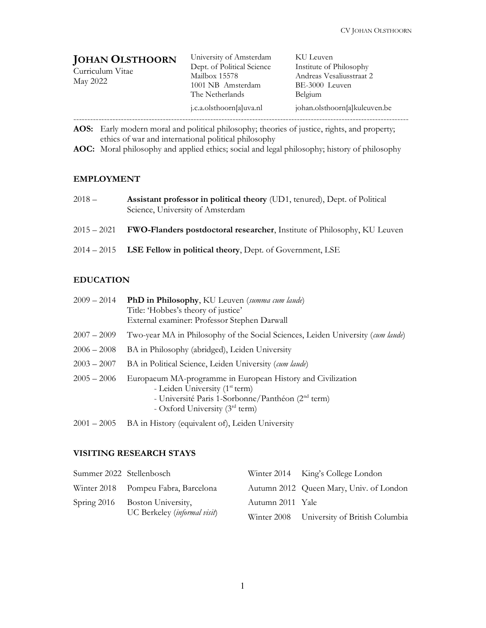| <b>JOHAN OLSTHOORN</b><br>Curriculum Vitae<br>May 2022 | University of Amsterdam<br>Dept. of Political Science<br>Mailbox 15578<br>1001 NB Amsterdam<br>The Netherlands | KU Leuven<br>Institute of Philosophy<br>Andreas Vesaliusstraat 2<br>BE-3000 Leuven<br>Belgium |
|--------------------------------------------------------|----------------------------------------------------------------------------------------------------------------|-----------------------------------------------------------------------------------------------|
|                                                        | j.c.a.olsthoorn[a]uva.nl                                                                                       | johan.olsthoorn[a]kuleuven.be                                                                 |
|                                                        |                                                                                                                |                                                                                               |

AOS: Early modern moral and political philosophy; theories of justice, rights, and property; ethics of war and international political philosophy

AOC: Moral philosophy and applied ethics; social and legal philosophy; history of philosophy

# EMPLOYMENT

- 2018 Assistant professor in political theory (UD1, tenured), Dept. of Political Science, University of Amsterdam
- 2015 2021 FWO-Flanders postdoctoral researcher, Institute of Philosophy, KU Leuven
- 2014 2015 LSE Fellow in political theory, Dept. of Government, LSE

# EDUCATION

| $2009 - 2014$ | <b>PhD in Philosophy, KU Leuven</b> (summa cum laude)<br>Title: 'Hobbes's theory of justice'<br>External examiner: Professor Stephen Darwall                                                                   |
|---------------|----------------------------------------------------------------------------------------------------------------------------------------------------------------------------------------------------------------|
| $2007 - 2009$ | Two-year MA in Philosophy of the Social Sciences, Leiden University (cum laude)                                                                                                                                |
| $2006 - 2008$ | BA in Philosophy (abridged), Leiden University                                                                                                                                                                 |
| $2003 - 2007$ | BA in Political Science, Leiden University (cum laude)                                                                                                                                                         |
| $2005 - 2006$ | Europaeum MA-programme in European History and Civilization<br>- Leiden University (1 <sup>st</sup> term)<br>- Université Paris 1-Sorbonne/Panthéon (2 <sup>nd</sup> term)<br>- Oxford University $(3rd$ term) |
| $2001 - 2005$ | BA in History (equivalent of), Leiden University                                                                                                                                                               |

#### VISITING RESEARCH STAYS

| Summer 2022 Stellenbosch |                                     |                  | Winter 2014 King's College London          |
|--------------------------|-------------------------------------|------------------|--------------------------------------------|
|                          | Winter 2018 Pompeu Fabra, Barcelona |                  | Autumn 2012 Queen Mary, Univ. of London    |
|                          | Spring 2016 Boston University,      | Autumn 2011 Yale |                                            |
|                          | UC Berkeley (informal visit)        |                  | Winter 2008 University of British Columbia |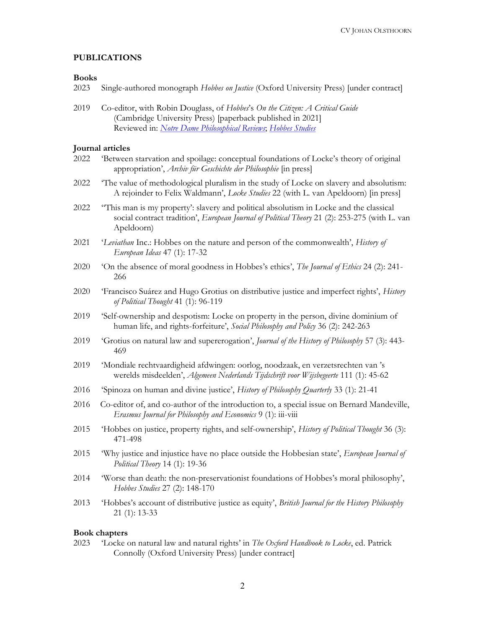#### PUBLICATIONS

#### Books

- 2023 Single-authored monograph Hobbes on Justice (Oxford University Press) [under contract]
- 2019 Co-editor, with Robin Douglass, of Hobbes's On the Citizen: A Critical Guide (Cambridge University Press) [paperback published in 2021] Reviewed in: Notre Dame Philosophical Reviews; Hobbes Studies

### Journal articles

- 2022 'Between starvation and spoilage: conceptual foundations of Locke's theory of original appropriation', Archiv für Geschichte der Philosophie [in press]
- 2022 'The value of methodological pluralism in the study of Locke on slavery and absolutism: A rejoinder to Felix Waldmann', Locke Studies 22 (with L. van Apeldoorn) [in press]
- 2022 ''This man is my property': slavery and political absolutism in Locke and the classical social contract tradition', European Journal of Political Theory 21 (2): 253-275 (with L. van Apeldoorn)
- 2021 *'Leviathan* Inc.: Hobbes on the nature and person of the commonwealth', *History of* European Ideas 47 (1): 17-32
- 2020 'On the absence of moral goodness in Hobbes's ethics', The Journal of Ethics 24 (2): 241- 266
- 2020 'Francisco Suárez and Hugo Grotius on distributive justice and imperfect rights', History of Political Thought 41 (1): 96-119
- 2019 'Self-ownership and despotism: Locke on property in the person, divine dominium of human life, and rights-forfeiture', Social Philosophy and Policy 36 (2): 242-263
- 2019 'Grotius on natural law and supererogation', Journal of the History of Philosophy 57 (3): 443- 469
- 2019 'Mondiale rechtvaardigheid afdwingen: oorlog, noodzaak, en verzetsrechten van 's werelds misdeelden', Algemeen Nederlands Tijdschrift voor Wijsbegeerte 111 (1): 45-62
- 2016 'Spinoza on human and divine justice', History of Philosophy Quarterly 33 (1): 21-41
- 2016 Co-editor of, and co-author of the introduction to, a special issue on Bernard Mandeville, Erasmus Journal for Philosophy and Economics 9 (1): iii-viii
- 2015 'Hobbes on justice, property rights, and self-ownership', History of Political Thought 36 (3): 471-498
- 2015 Why justice and injustice have no place outside the Hobbesian state', European Journal of Political Theory 14 (1): 19-36
- 2014 'Worse than death: the non-preservationist foundations of Hobbes's moral philosophy', Hobbes Studies 27 (2): 148-170
- 2013 'Hobbes's account of distributive justice as equity', British Journal for the History Philosophy 21 (1): 13-33

#### Book chapters

2023 'Locke on natural law and natural rights' in The Oxford Handbook to Locke, ed. Patrick Connolly (Oxford University Press) [under contract]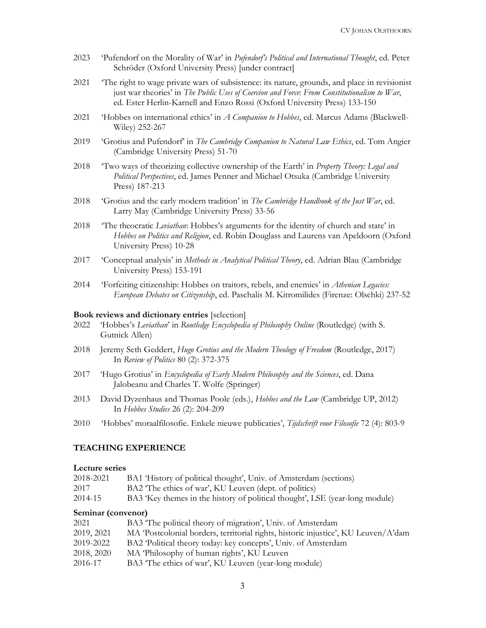- 2023 'Pufendorf on the Morality of War' in Pufendorf's Political and International Thought, ed. Peter Schröder (Oxford University Press) [under contract]
- 2021 'The right to wage private wars of subsistence: its nature, grounds, and place in revisionist just war theories' in The Public Uses of Coercion and Force: From Constitutionalism to War, ed. Ester Herlin-Karnell and Enzo Rossi (Oxford University Press) 133-150
- 2021 'Hobbes on international ethics' in A Companion to Hobbes, ed. Marcus Adams (Blackwell-Wiley) 252-267
- 2019 'Grotius and Pufendorf' in The Cambridge Companion to Natural Law Ethics, ed. Tom Angier (Cambridge University Press) 51-70
- 2018 Two ways of theorizing collective ownership of the Earth' in *Property Theory: Legal and* Political Perspectives, ed. James Penner and Michael Otsuka (Cambridge University Press) 187-213
- 2018 'Grotius and the early modern tradition' in The Cambridge Handbook of the Just War, ed. Larry May (Cambridge University Press) 33-56
- 2018 The theocratic Leviathan: Hobbes's arguments for the identity of church and state' in Hobbes on Politics and Religion, ed. Robin Douglass and Laurens van Apeldoorn (Oxford University Press) 10-28
- 2017 'Conceptual analysis' in *Methods in Analytical Political Theory*, ed. Adrian Blau (Cambridge University Press) 153-191
- 2014 'Forfeiting citizenship: Hobbes on traitors, rebels, and enemies' in Athenian Legacies: European Debates on Citizenship, ed. Paschalis M. Kitromilides (Firenze: Olschki) 237-52

#### Book reviews and dictionary entries [selection]

- 2022 'Hobbes's Leviathan' in Routledge Encyclopedia of Philosophy Online (Routledge) (with S. Gutnick Allen)
- 2018 Jeremy Seth Geddert, Hugo Grotius and the Modern Theology of Freedom (Routledge, 2017) In Review of Politics 80 (2): 372-375
- 2017 'Hugo Grotius' in Encyclopedia of Early Modern Philosophy and the Sciences, ed. Dana Jalobeanu and Charles T. Wolfe (Springer)
- 2013 David Dyzenhaus and Thomas Poole (eds.), Hobbes and the Law (Cambridge UP, 2012) In Hobbes Studies 26 (2): 204-209
- 2010 'Hobbes' moraalfilosofie. Enkele nieuwe publicaties', Tijdschrift voor Filosofie 72 (4): 803-9

#### TEACHING EXPERIENCE

#### Lecture series

| 2018-2021 | BA1 'History of political thought', Univ. of Amsterdam (sections)            |
|-----------|------------------------------------------------------------------------------|
| 2017      | BA2 'The ethics of war', KU Leuven (dept. of politics)                       |
| 2014-15   | BA3 'Key themes in the history of political thought', LSE (year-long module) |

#### Seminar (convenor)

| 2021       | BA3 The political theory of migration', Univ. of Amsterdam                         |
|------------|------------------------------------------------------------------------------------|
| 2019, 2021 | MA 'Postcolonial borders, territorial rights, historic injustice', KU Leuven/A'dam |
| 2019-2022  | BA2 Political theory today: key concepts', Univ. of Amsterdam                      |
| 2018, 2020 | MA Philosophy of human rights', KU Leuven                                          |
| 2016-17    | BA3 The ethics of war', KU Leuven (year-long module)                               |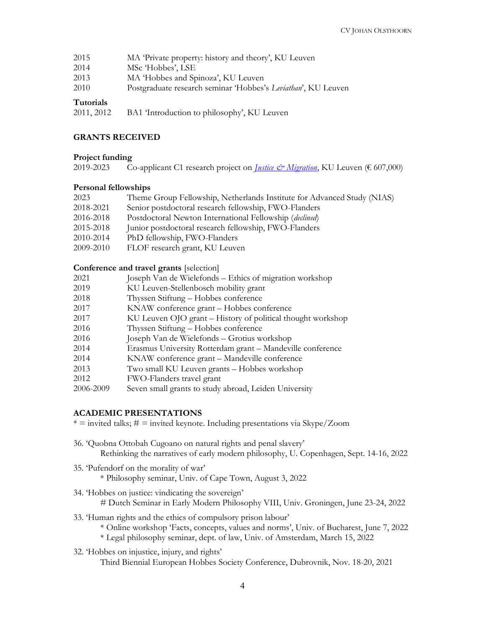| <b>Tutorials</b> |                                                               |
|------------------|---------------------------------------------------------------|
| 2010             | Postgraduate research seminar 'Hobbes's Leviathan', KU Leuven |
| 2013             | MA 'Hobbes and Spinoza', KU Leuven                            |
| 2014             | MSc 'Hobbes', LSE                                             |
| 2015             | MA 'Private property: history and theory', KU Leuven          |

## 2011, 2012 BA1 'Introduction to philosophy', KU Leuven

## GRANTS RECEIVED

### Project funding

2019-2023 Co-applicant C1 research project on *Justice & Migration*, KU Leuven ( $\epsilon$  607,000)

### Personal fellowships

| 2023      | Theme Group Fellowship, Netherlands Institute for Advanced Study (NIAS) |
|-----------|-------------------------------------------------------------------------|
| 2018-2021 | Senior postdoctoral research fellowship, FWO-Flanders                   |
| 2016-2018 | Postdoctoral Newton International Fellowship (declined)                 |
| 2015-2018 | Junior postdoctoral research fellowship, FWO-Flanders                   |
| 2010-2014 | PhD fellowship, FWO-Flanders                                            |
| 2009-2010 | FLOF research grant, KU Leuven                                          |

## Conference and travel grants [selection]

- 2021 Joseph Van de Wielefonds Ethics of migration workshop
- 2019 KU Leuven-Stellenbosch mobility grant
- 2018 Thyssen Stiftung Hobbes conference
- 2017 KNAW conference grant Hobbes conference
- 2017 KU Leuven OJO grant History of political thought workshop
- 2016 Thyssen Stiftung Hobbes conference
- 2016 Joseph Van de Wielefonds Grotius workshop
- 2014 Erasmus University Rotterdam grant Mandeville conference
- 2014 KNAW conference grant Mandeville conference
- 2013 Two small KU Leuven grants Hobbes workshop
- 2012 FWO-Flanders travel grant
- 2006-2009 Seven small grants to study abroad, Leiden University

# ACADEMIC PRESENTATIONS

 $* =$  invited talks;  $\# =$  invited keynote. Including presentations via Skype/Zoom

- 36. 'Quobna Ottobah Cugoano on natural rights and penal slavery' Rethinking the narratives of early modern philosophy, U. Copenhagen, Sept. 14-16, 2022
- 35. 'Pufendorf on the morality of war'
	- \* Philosophy seminar, Univ. of Cape Town, August 3, 2022
- 34. 'Hobbes on justice: vindicating the sovereign'
	- # Dutch Seminar in Early Modern Philosophy VIII, Univ. Groningen, June 23-24, 2022
- 33. 'Human rights and the ethics of compulsory prison labour'
	- \* Online workshop 'Facts, concepts, values and norms', Univ. of Bucharest, June 7, 2022
	- \* Legal philosophy seminar, dept. of law, Univ. of Amsterdam, March 15, 2022
- 32. 'Hobbes on injustice, injury, and rights' Third Biennial European Hobbes Society Conference, Dubrovnik, Nov. 18-20, 2021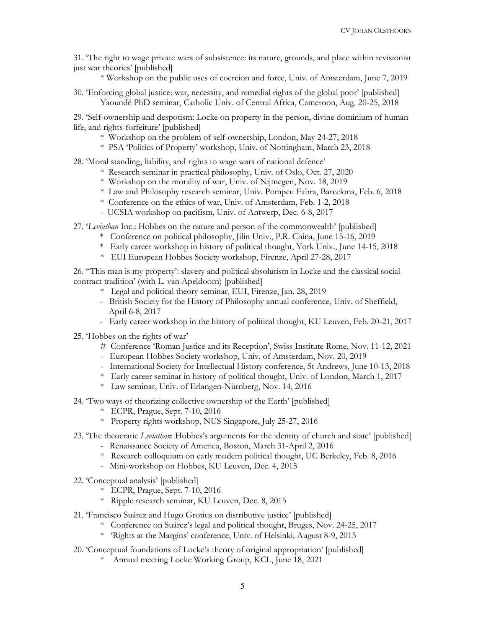31. 'The right to wage private wars of subsistence: its nature, grounds, and place within revisionist just war theories' [published]

\* Workshop on the public uses of coercion and force, Univ. of Amsterdam, June 7, 2019

30. 'Enforcing global justice: war, necessity, and remedial rights of the global poor' [published] Yaoundé PhD seminar, Catholic Univ. of Central Africa, Cameroon, Aug. 20-25, 2018

29. 'Self-ownership and despotism: Locke on property in the person, divine dominium of human life, and rights-forfeiture' [published]

- \* Workshop on the problem of self-ownership, London, May 24-27, 2018
- \* PSA 'Politics of Property' workshop, Univ. of Nottingham, March 23, 2018

28. 'Moral standing, liability, and rights to wage wars of national defence'

- \* Research seminar in practical philosophy, Univ. of Oslo, Oct. 27, 2020
- \* Workshop on the morality of war, Univ. of Nijmegen, Nov. 18, 2019
- \* Law and Philosophy research seminar, Univ. Pompeu Fabra, Barcelona, Feb. 6, 2018
- \* Conference on the ethics of war, Univ. of Amsterdam, Feb. 1-2, 2018
- UCSIA workshop on pacifism, Univ. of Antwerp, Dec. 6-8, 2017

27. 'Leviathan Inc.: Hobbes on the nature and person of the commonwealth' [published]

- \* Conference on political philosophy, Jilin Univ., P.R. China, June 15-16, 2019
- \* Early career workshop in history of political thought, York Univ., June 14-15, 2018
- \* EUI European Hobbes Society workshop, Firenze, April 27-28, 2017

26. ''This man is my property': slavery and political absolutism in Locke and the classical social contract tradition' (with L. van Apeldoorn) [published]

- \* Legal and political theory seminar, EUI, Firenze, Jan. 28, 2019
- British Society for the History of Philosophy annual conference, Univ. of Sheffield, April 6-8, 2017
- Early career workshop in the history of political thought, KU Leuven, Feb. 20-21, 2017
- 25. 'Hobbes on the rights of war'
	- # Conference 'Roman Justice and its Reception', Swiss Institute Rome, Nov. 11-12, 2021
	- European Hobbes Society workshop, Univ. of Amsterdam, Nov. 20, 2019
	- International Society for Intellectual History conference, St Andrews, June 10-13, 2018
	- \* Early career seminar in history of political thought, Univ. of London, March 1, 2017
	- \* Law seminar, Univ. of Erlangen-Nürnberg, Nov. 14, 2016
- 24. 'Two ways of theorizing collective ownership of the Earth' [published]
	- \* ECPR, Prague, Sept. 7-10, 2016
	- \* Property rights workshop, NUS Singapore, July 25-27, 2016
- 23. 'The theocratic Leviathan: Hobbes's arguments for the identity of church and state' [published]
	- Renaissance Society of America, Boston, March 31-April 2, 2016
	- \* Research colloquium on early modern political thought, UC Berkeley, Feb. 8, 2016
	- Mini-workshop on Hobbes, KU Leuven, Dec. 4, 2015
- 22. 'Conceptual analysis' [published]
	- \* ECPR, Prague, Sept. 7-10, 2016
	- \* Ripple research seminar, KU Leuven, Dec. 8, 2015
- 21. 'Francisco Suárez and Hugo Grotius on distributive justice' [published]
	- \* Conference on Suárez's legal and political thought, Bruges, Nov. 24-25, 2017
	- \* 'Rights at the Margins' conference, Univ. of Helsinki, August 8-9, 2015
- 20. 'Conceptual foundations of Locke's theory of original appropriation' [published]
	- \* Annual meeting Locke Working Group, KCL, June 18, 2021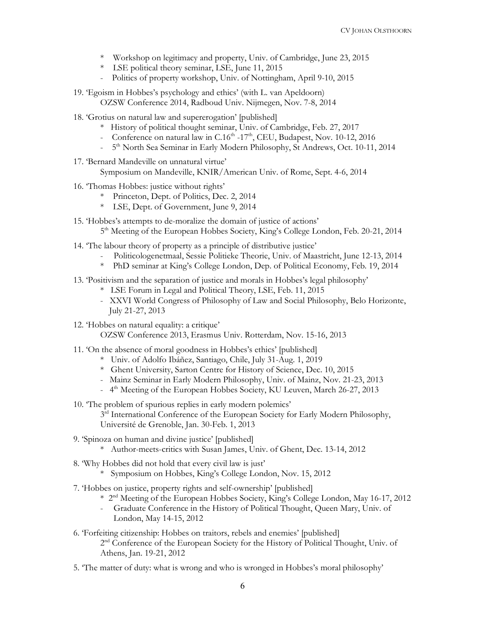- \* Workshop on legitimacy and property, Univ. of Cambridge, June 23, 2015
- \* LSE political theory seminar, LSE, June 11, 2015
- Politics of property workshop, Univ. of Nottingham, April 9-10, 2015
- 19. 'Egoism in Hobbes's psychology and ethics' (with L. van Apeldoorn) OZSW Conference 2014, Radboud Univ. Nijmegen, Nov. 7-8, 2014
- 18. 'Grotius on natural law and supererogation' [published]
	- \* History of political thought seminar, Univ. of Cambridge, Feb. 27, 2017
	- Conference on natural law in C.16<sup>th</sup> -17<sup>th</sup>, CEU, Budapest, Nov. 10-12, 2016
	- 5<sup>th</sup> North Sea Seminar in Early Modern Philosophy, St Andrews, Oct. 10-11, 2014
- 17. 'Bernard Mandeville on unnatural virtue' Symposium on Mandeville, KNIR/American Univ. of Rome, Sept. 4-6, 2014
- 16. 'Thomas Hobbes: justice without rights'
	- \* Princeton, Dept. of Politics, Dec. 2, 2014
	- \* LSE, Dept. of Government, June 9, 2014
- 15. 'Hobbes's attempts to de-moralize the domain of justice of actions' 5th Meeting of the European Hobbes Society, King's College London, Feb. 20-21, 2014
- 14. 'The labour theory of property as a principle of distributive justice'
	- Politicologenetmaal, Sessie Politieke Theorie, Univ. of Maastricht, June 12-13, 2014
	- \* PhD seminar at King's College London, Dep. of Political Economy, Feb. 19, 2014
- 13. 'Positivism and the separation of justice and morals in Hobbes's legal philosophy'
	- \* LSE Forum in Legal and Political Theory, LSE, Feb. 11, 2015
	- XXVI World Congress of Philosophy of Law and Social Philosophy, Belo Horizonte, July 21-27, 2013
- 12. 'Hobbes on natural equality: a critique'

OZSW Conference 2013, Erasmus Univ. Rotterdam, Nov. 15-16, 2013

- 11. 'On the absence of moral goodness in Hobbes's ethics' [published]
	- \* Univ. of Adolfo Ibáñez, Santiago, Chile, July 31-Aug. 1, 2019
	- \* Ghent University, Sarton Centre for History of Science, Dec. 10, 2015
	- Mainz Seminar in Early Modern Philosophy, Univ. of Mainz, Nov. 21-23, 2013
	- 4<sup>th</sup> Meeting of the European Hobbes Society, KU Leuven, March 26-27, 2013
- 10. 'The problem of spurious replies in early modern polemics'

3<sup>rd</sup> International Conference of the European Society for Early Modern Philosophy, Université de Grenoble, Jan. 30-Feb. 1, 2013

- 9. 'Spinoza on human and divine justice' [published]
	- \* Author-meets-critics with Susan James, Univ. of Ghent, Dec. 13-14, 2012
- 8. 'Why Hobbes did not hold that every civil law is just'
	- \* Symposium on Hobbes, King's College London, Nov. 15, 2012
- 7. 'Hobbes on justice, property rights and self-ownership' [published]
	- \* 2nd Meeting of the European Hobbes Society, King's College London, May 16-17, 2012
	- Graduate Conference in the History of Political Thought, Queen Mary, Univ. of London, May 14-15, 2012
- 6. 'Forfeiting citizenship: Hobbes on traitors, rebels and enemies' [published]

2<sup>nd</sup> Conference of the European Society for the History of Political Thought, Univ. of Athens, Jan. 19-21, 2012

5. 'The matter of duty: what is wrong and who is wronged in Hobbes's moral philosophy'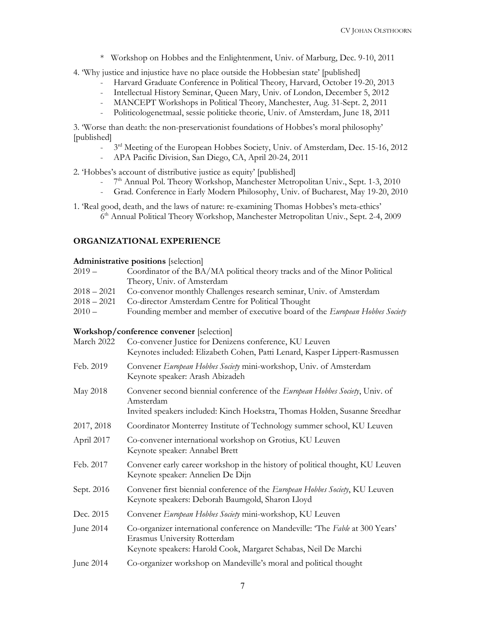- \* Workshop on Hobbes and the Enlightenment, Univ. of Marburg, Dec. 9-10, 2011
- 4. 'Why justice and injustice have no place outside the Hobbesian state' [published]
	- Harvard Graduate Conference in Political Theory, Harvard, October 19-20, 2013
	- Intellectual History Seminar, Queen Mary, Univ. of London, December 5, 2012
	- MANCEPT Workshops in Political Theory, Manchester, Aug. 31-Sept. 2, 2011
	- Politicologenetmaal, sessie politieke theorie, Univ. of Amsterdam, June 18, 2011

3. 'Worse than death: the non-preservationist foundations of Hobbes's moral philosophy' [published]

- 3<sup>rd</sup> Meeting of the European Hobbes Society, Univ. of Amsterdam, Dec. 15-16, 2012
- APA Pacific Division, San Diego, CA, April 20-24, 2011

2. 'Hobbes's account of distributive justice as equity' [published]

- 7<sup>th</sup> Annual Pol. Theory Workshop, Manchester Metropolitan Univ., Sept. 1-3, 2010
- Grad. Conference in Early Modern Philosophy, Univ. of Bucharest, May 19-20, 2010
- 1. 'Real good, death, and the laws of nature: re-examining Thomas Hobbes's meta-ethics' 6 th Annual Political Theory Workshop, Manchester Metropolitan Univ., Sept. 2-4, 2009

## ORGANIZATIONAL EXPERIENCE

### Administrative positions [selection]

| $2019-$ | Coordinator of the BA/MA political theory tracks and of the Minor Political     |
|---------|---------------------------------------------------------------------------------|
|         | Theory, Univ. of Amsterdam                                                      |
|         | 2018 – 2021 Co-convenor monthly Challenges research seminar, Univ. of Amsterdam |
|         | 2018 – 2021 Co-director Amsterdam Centre for Political Thought                  |

2010 – Founding member and member of executive board of the *European Hobbes Society* 

# Workshop/conference convener [selection]

| March 2022  | Co-convener Justice for Denizens conference, KU Leuven<br>Keynotes included: Elizabeth Cohen, Patti Lenard, Kasper Lippert-Rasmussen                                             |
|-------------|----------------------------------------------------------------------------------------------------------------------------------------------------------------------------------|
| Feb. 2019   | Convener European Hobbes Society mini-workshop, Univ. of Amsterdam<br>Keynote speaker: Arash Abizadeh                                                                            |
| May 2018    | Convener second biennial conference of the European Hobbes Society, Univ. of<br>Amsterdam<br>Invited speakers included: Kinch Hoekstra, Thomas Holden, Susanne Sreedhar          |
| 2017, 2018  | Coordinator Monterrey Institute of Technology summer school, KU Leuven                                                                                                           |
| April 2017  | Co-convener international workshop on Grotius, KU Leuven<br>Keynote speaker: Annabel Brett                                                                                       |
| Feb. 2017   | Convener early career workshop in the history of political thought, KU Leuven<br>Keynote speaker: Annelien De Dijn                                                               |
| Sept. 2016  | Convener first biennial conference of the European Hobbes Society, KU Leuven<br>Keynote speakers: Deborah Baumgold, Sharon Lloyd                                                 |
| Dec. 2015   | Convener European Hobbes Society mini-workshop, KU Leuven                                                                                                                        |
| June 2014   | Co-organizer international conference on Mandeville: 'The Fable at 300 Years'<br>Erasmus University Rotterdam<br>Keynote speakers: Harold Cook, Margaret Schabas, Neil De Marchi |
| June $2014$ | Co-organizer workshop on Mandeville's moral and political thought                                                                                                                |